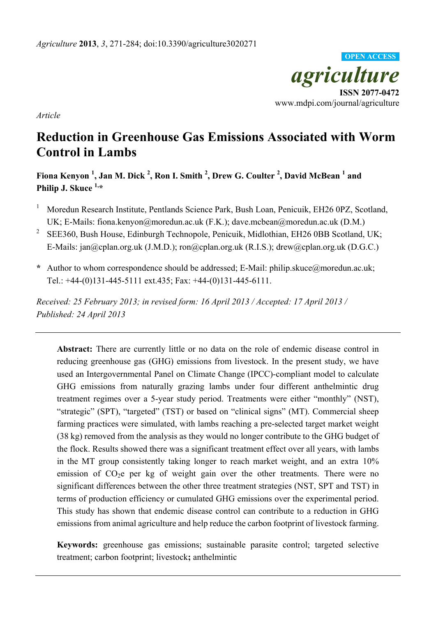

*Article* 

# **Reduction in Greenhouse Gas Emissions Associated with Worm Control in Lambs**

**Fiona Kenyon 1 , Jan M. Dick <sup>2</sup> , Ron I. Smith <sup>2</sup> , Drew G. Coulter <sup>2</sup> , David McBean <sup>1</sup> and Philip J. Skuce 1,\*** 

- 1 Moredun Research Institute, Pentlands Science Park, Bush Loan, Penicuik, EH26 0PZ, Scotland, UK; E-Mails: fiona.kenyon@moredun.ac.uk (F.K.); dave.mcbean@moredun.ac.uk (D.M.)
- <sup>2</sup> SEE360, Bush House, Edinburgh Technopole, Penicuik, Midlothian, EH26 0BB Scotland, UK; E-Mails: jan@cplan.org.uk (J.M.D.); ron@cplan.org.uk (R.I.S.); drew@cplan.org.uk (D.G.C.)
- **\*** Author to whom correspondence should be addressed; E-Mail: philip.skuce@moredun.ac.uk; Tel.: +44-(0)131-445-5111 ext.435; Fax: +44-(0)131-445-6111.

*Received: 25 February 2013; in revised form: 16 April 2013 / Accepted: 17 April 2013 / Published: 24 April 2013* 

**Abstract:** There are currently little or no data on the role of endemic disease control in reducing greenhouse gas (GHG) emissions from livestock. In the present study, we have used an Intergovernmental Panel on Climate Change (IPCC)-compliant model to calculate GHG emissions from naturally grazing lambs under four different anthelmintic drug treatment regimes over a 5-year study period. Treatments were either "monthly" (NST), "strategic" (SPT), "targeted" (TST) or based on "clinical signs" (MT). Commercial sheep farming practices were simulated, with lambs reaching a pre-selected target market weight (38 kg) removed from the analysis as they would no longer contribute to the GHG budget of the flock. Results showed there was a significant treatment effect over all years, with lambs in the MT group consistently taking longer to reach market weight, and an extra 10% emission of  $CO<sub>2</sub>e$  per kg of weight gain over the other treatments. There were no significant differences between the other three treatment strategies (NST, SPT and TST) in terms of production efficiency or cumulated GHG emissions over the experimental period. This study has shown that endemic disease control can contribute to a reduction in GHG emissions from animal agriculture and help reduce the carbon footprint of livestock farming.

**Keywords:** greenhouse gas emissions; sustainable parasite control; targeted selective treatment; carbon footprint; livestock**;** anthelmintic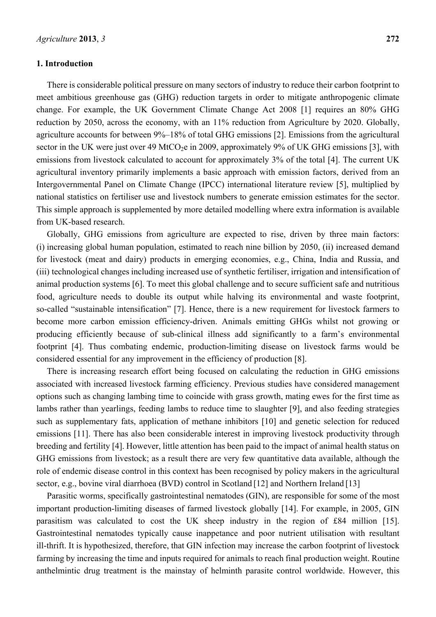#### **1. Introduction**

There is considerable political pressure on many sectors of industry to reduce their carbon footprint to meet ambitious greenhouse gas (GHG) reduction targets in order to mitigate anthropogenic climate change. For example, the UK Government Climate Change Act 2008 [1] requires an 80% GHG reduction by 2050, across the economy, with an 11% reduction from Agriculture by 2020. Globally, agriculture accounts for between 9%–18% of total GHG emissions [2]. Emissions from the agricultural sector in the UK were just over 49 MtCO<sub>2</sub>e in 2009, approximately 9% of UK GHG emissions [3], with emissions from livestock calculated to account for approximately 3% of the total [4]. The current UK agricultural inventory primarily implements a basic approach with emission factors, derived from an Intergovernmental Panel on Climate Change (IPCC) international literature review [5], multiplied by national statistics on fertiliser use and livestock numbers to generate emission estimates for the sector. This simple approach is supplemented by more detailed modelling where extra information is available from UK-based research.

Globally, GHG emissions from agriculture are expected to rise, driven by three main factors: (i) increasing global human population, estimated to reach nine billion by 2050, (ii) increased demand for livestock (meat and dairy) products in emerging economies, e.g., China, India and Russia, and (iii) technological changes including increased use of synthetic fertiliser, irrigation and intensification of animal production systems [6]. To meet this global challenge and to secure sufficient safe and nutritious food, agriculture needs to double its output while halving its environmental and waste footprint, so-called "sustainable intensification" [7]. Hence, there is a new requirement for livestock farmers to become more carbon emission efficiency-driven. Animals emitting GHGs whilst not growing or producing efficiently because of sub-clinical illness add significantly to a farm's environmental footprint [4]. Thus combating endemic, production-limiting disease on livestock farms would be considered essential for any improvement in the efficiency of production [8].

There is increasing research effort being focused on calculating the reduction in GHG emissions associated with increased livestock farming efficiency. Previous studies have considered management options such as changing lambing time to coincide with grass growth, mating ewes for the first time as lambs rather than yearlings, feeding lambs to reduce time to slaughter [9], and also feeding strategies such as supplementary fats, application of methane inhibitors [10] and genetic selection for reduced emissions [11]. There has also been considerable interest in improving livestock productivity through breeding and fertility [4]. However, little attention has been paid to the impact of animal health status on GHG emissions from livestock; as a result there are very few quantitative data available, although the role of endemic disease control in this context has been recognised by policy makers in the agricultural sector, e.g., bovine viral diarrhoea (BVD) control in Scotland [12] and Northern Ireland [13]

Parasitic worms, specifically gastrointestinal nematodes (GIN), are responsible for some of the most important production-limiting diseases of farmed livestock globally [14]. For example, in 2005, GIN parasitism was calculated to cost the UK sheep industry in the region of £84 million [15]. Gastrointestinal nematodes typically cause inappetance and poor nutrient utilisation with resultant ill-thrift. It is hypothesized, therefore, that GIN infection may increase the carbon footprint of livestock farming by increasing the time and inputs required for animals to reach final production weight. Routine anthelmintic drug treatment is the mainstay of helminth parasite control worldwide. However, this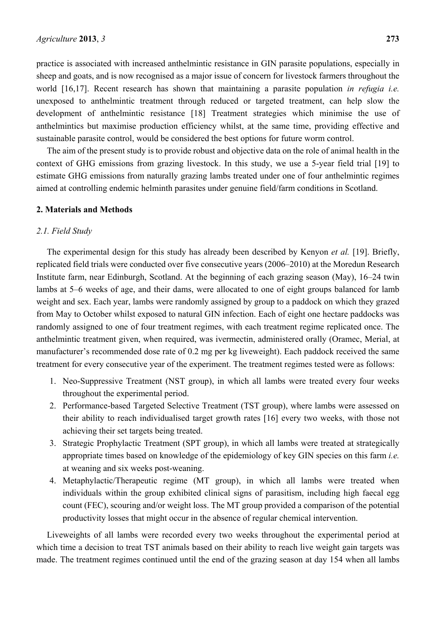practice is associated with increased anthelmintic resistance in GIN parasite populations, especially in sheep and goats, and is now recognised as a major issue of concern for livestock farmers throughout the world [16,17]. Recent research has shown that maintaining a parasite population *in refugia i.e.* unexposed to anthelmintic treatment through reduced or targeted treatment, can help slow the development of anthelmintic resistance [18] Treatment strategies which minimise the use of anthelmintics but maximise production efficiency whilst, at the same time, providing effective and sustainable parasite control, would be considered the best options for future worm control.

The aim of the present study is to provide robust and objective data on the role of animal health in the context of GHG emissions from grazing livestock. In this study, we use a 5-year field trial [19] to estimate GHG emissions from naturally grazing lambs treated under one of four anthelmintic regimes aimed at controlling endemic helminth parasites under genuine field/farm conditions in Scotland.

#### **2. Materials and Methods**

### *2.1. Field Study*

The experimental design for this study has already been described by Kenyon *et al.* [19]. Briefly, replicated field trials were conducted over five consecutive years (2006–2010) at the Moredun Research Institute farm, near Edinburgh, Scotland. At the beginning of each grazing season (May), 16–24 twin lambs at 5–6 weeks of age, and their dams, were allocated to one of eight groups balanced for lamb weight and sex. Each year, lambs were randomly assigned by group to a paddock on which they grazed from May to October whilst exposed to natural GIN infection. Each of eight one hectare paddocks was randomly assigned to one of four treatment regimes, with each treatment regime replicated once. The anthelmintic treatment given, when required, was ivermectin, administered orally (Oramec, Merial, at manufacturer's recommended dose rate of 0.2 mg per kg liveweight). Each paddock received the same treatment for every consecutive year of the experiment. The treatment regimes tested were as follows:

- 1. Neo-Suppressive Treatment (NST group), in which all lambs were treated every four weeks throughout the experimental period.
- 2. Performance-based Targeted Selective Treatment (TST group), where lambs were assessed on their ability to reach individualised target growth rates [16] every two weeks, with those not achieving their set targets being treated.
- 3. Strategic Prophylactic Treatment (SPT group), in which all lambs were treated at strategically appropriate times based on knowledge of the epidemiology of key GIN species on this farm *i.e.* at weaning and six weeks post-weaning.
- 4. Metaphylactic/Therapeutic regime (MT group), in which all lambs were treated when individuals within the group exhibited clinical signs of parasitism, including high faecal egg count (FEC), scouring and/or weight loss. The MT group provided a comparison of the potential productivity losses that might occur in the absence of regular chemical intervention.

Liveweights of all lambs were recorded every two weeks throughout the experimental period at which time a decision to treat TST animals based on their ability to reach live weight gain targets was made. The treatment regimes continued until the end of the grazing season at day 154 when all lambs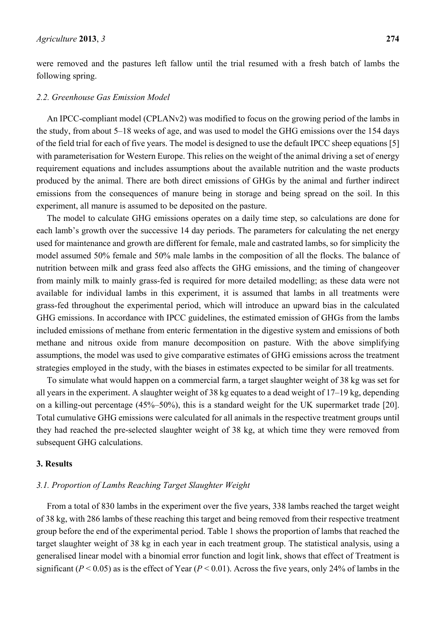were removed and the pastures left fallow until the trial resumed with a fresh batch of lambs the following spring.

#### *2.2. Greenhouse Gas Emission Model*

An IPCC-compliant model (CPLANv2) was modified to focus on the growing period of the lambs in the study, from about 5–18 weeks of age, and was used to model the GHG emissions over the 154 days of the field trial for each of five years. The model is designed to use the default IPCC sheep equations [5] with parameterisation for Western Europe. This relies on the weight of the animal driving a set of energy requirement equations and includes assumptions about the available nutrition and the waste products produced by the animal. There are both direct emissions of GHGs by the animal and further indirect emissions from the consequences of manure being in storage and being spread on the soil. In this experiment, all manure is assumed to be deposited on the pasture.

The model to calculate GHG emissions operates on a daily time step, so calculations are done for each lamb's growth over the successive 14 day periods. The parameters for calculating the net energy used for maintenance and growth are different for female, male and castrated lambs, so for simplicity the model assumed 50% female and 50% male lambs in the composition of all the flocks. The balance of nutrition between milk and grass feed also affects the GHG emissions, and the timing of changeover from mainly milk to mainly grass-fed is required for more detailed modelling; as these data were not available for individual lambs in this experiment, it is assumed that lambs in all treatments were grass-fed throughout the experimental period, which will introduce an upward bias in the calculated GHG emissions. In accordance with IPCC guidelines, the estimated emission of GHGs from the lambs included emissions of methane from enteric fermentation in the digestive system and emissions of both methane and nitrous oxide from manure decomposition on pasture. With the above simplifying assumptions, the model was used to give comparative estimates of GHG emissions across the treatment strategies employed in the study, with the biases in estimates expected to be similar for all treatments.

To simulate what would happen on a commercial farm, a target slaughter weight of 38 kg was set for all years in the experiment. A slaughter weight of 38 kg equates to a dead weight of 17–19 kg, depending on a killing-out percentage (45%–50%), this is a standard weight for the UK supermarket trade [20]. Total cumulative GHG emissions were calculated for all animals in the respective treatment groups until they had reached the pre-selected slaughter weight of 38 kg, at which time they were removed from subsequent GHG calculations.

## **3. Results**

#### *3.1. Proportion of Lambs Reaching Target Slaughter Weight*

From a total of 830 lambs in the experiment over the five years, 338 lambs reached the target weight of 38 kg, with 286 lambs of these reaching this target and being removed from their respective treatment group before the end of the experimental period. Table 1 shows the proportion of lambs that reached the target slaughter weight of 38 kg in each year in each treatment group. The statistical analysis, using a generalised linear model with a binomial error function and logit link, shows that effect of Treatment is significant ( $P < 0.05$ ) as is the effect of Year ( $P < 0.01$ ). Across the five years, only 24% of lambs in the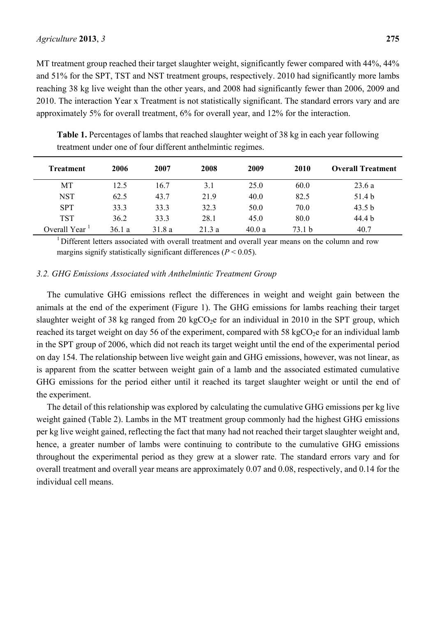MT treatment group reached their target slaughter weight, significantly fewer compared with 44%, 44% and 51% for the SPT, TST and NST treatment groups, respectively. 2010 had significantly more lambs reaching 38 kg live weight than the other years, and 2008 had significantly fewer than 2006, 2009 and 2010. The interaction Year x Treatment is not statistically significant. The standard errors vary and are approximately 5% for overall treatment, 6% for overall year, and 12% for the interaction.

| <b>Treatment</b>          | 2006  | 2007  | 2008  | 2009  | 2010   | <b>Overall Treatment</b> |
|---------------------------|-------|-------|-------|-------|--------|--------------------------|
| MT                        | 12.5  | 16.7  | 3.1   | 25.0  | 60.0   | 23.6a                    |
| <b>NST</b>                | 62.5  | 43.7  | 21.9  | 40.0  | 82.5   | 51.4 b                   |
| <b>SPT</b>                | 33.3  | 33.3  | 32.3  | 50.0  | 70.0   | 43.5 <sub>b</sub>        |
| <b>TST</b>                | 36.2  | 33.3  | 28.1  | 45.0  | 80.0   | 44.4 b                   |
| Overall Year <sup>1</sup> | 36.1a | 31.8a | 21.3a | 40.0a | 73.1 b | 40.7                     |

**Table 1.** Percentages of lambs that reached slaughter weight of 38 kg in each year following treatment under one of four different anthelmintic regimes.

<sup>1</sup> Different letters associated with overall treatment and overall year means on the column and row margins signify statistically significant differences  $(P < 0.05)$ .

## *3.2. GHG Emissions Associated with Anthelmintic Treatment Group*

The cumulative GHG emissions reflect the differences in weight and weight gain between the animals at the end of the experiment (Figure 1). The GHG emissions for lambs reaching their target slaughter weight of 38 kg ranged from 20 kg $CO<sub>2</sub>e$  for an individual in 2010 in the SPT group, which reached its target weight on day 56 of the experiment, compared with 58 kgCO<sub>2</sub>e for an individual lamb in the SPT group of 2006, which did not reach its target weight until the end of the experimental period on day 154. The relationship between live weight gain and GHG emissions, however, was not linear, as is apparent from the scatter between weight gain of a lamb and the associated estimated cumulative GHG emissions for the period either until it reached its target slaughter weight or until the end of the experiment.

The detail of this relationship was explored by calculating the cumulative GHG emissions per kg live weight gained (Table 2). Lambs in the MT treatment group commonly had the highest GHG emissions per kg live weight gained, reflecting the fact that many had not reached their target slaughter weight and, hence, a greater number of lambs were continuing to contribute to the cumulative GHG emissions throughout the experimental period as they grew at a slower rate. The standard errors vary and for overall treatment and overall year means are approximately 0.07 and 0.08, respectively, and 0.14 for the individual cell means.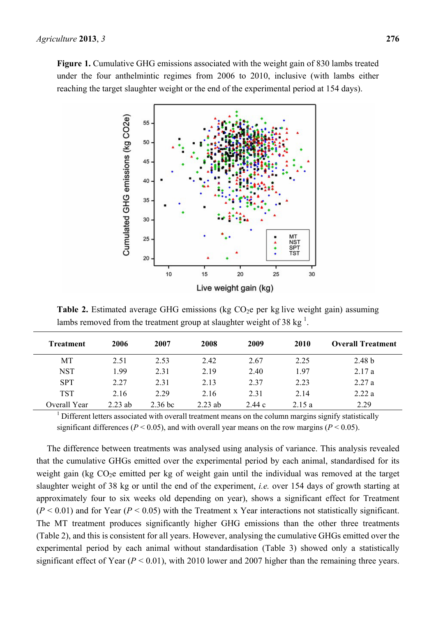**Figure 1.** Cumulative GHG emissions associated with the weight gain of 830 lambs treated under the four anthelmintic regimes from 2006 to 2010, inclusive (with lambs either reaching the target slaughter weight or the end of the experimental period at 154 days).



**Table 2.** Estimated average GHG emissions (kg  $CO<sub>2</sub>e$  per kg live weight gain) assuming lambs removed from the treatment group at slaughter weight of 38 kg $^1$ .

| Treatment    | 2006      | 2007      | 2008      | 2009  | 2010  | <b>Overall Treatment</b> |
|--------------|-----------|-----------|-----------|-------|-------|--------------------------|
| MT           | 2.51      | 2.53      | 2.42      | 2.67  | 2.25  | 2.48 <sub>b</sub>        |
| <b>NST</b>   | 1.99      | 2.31      | 2.19      | 2.40  | 1.97  | 2.17a                    |
| <b>SPT</b>   | 2.27      | 2.31      | 2.13      | 2.37  | 2.23  | 2.27a                    |
| <b>TST</b>   | 2.16      | 2 2 9     | 2.16      | 2.31  | 2.14  | 2.22a                    |
| Overall Year | $2.23$ ab | $2.36$ bc | $2.23$ ab | 2.44c | 2.15a | 2.29                     |

 $1$  Different letters associated with overall treatment means on the column margins signify statistically significant differences ( $P < 0.05$ ), and with overall year means on the row margins ( $P < 0.05$ ).

The difference between treatments was analysed using analysis of variance. This analysis revealed that the cumulative GHGs emitted over the experimental period by each animal, standardised for its weight gain (kg  $CO<sub>2</sub>e$  emitted per kg of weight gain until the individual was removed at the target slaughter weight of 38 kg or until the end of the experiment, *i.e.* over 154 days of growth starting at approximately four to six weeks old depending on year), shows a significant effect for Treatment  $(P < 0.01)$  and for Year  $(P < 0.05)$  with the Treatment x Year interactions not statistically significant. The MT treatment produces significantly higher GHG emissions than the other three treatments (Table 2), and this is consistent for all years. However, analysing the cumulative GHGs emitted over the experimental period by each animal without standardisation (Table 3) showed only a statistically significant effect of Year  $(P < 0.01)$ , with 2010 lower and 2007 higher than the remaining three years.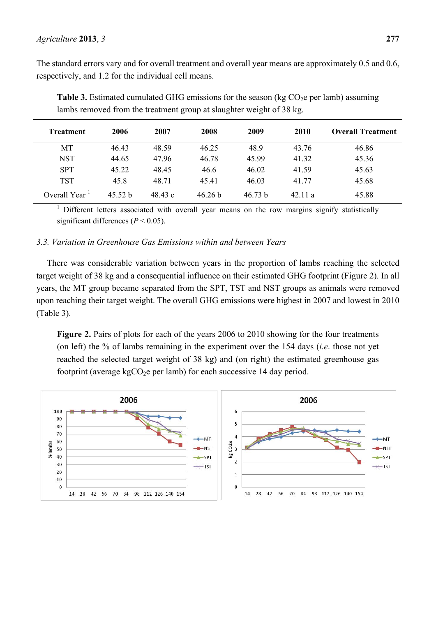The standard errors vary and for overall treatment and overall year means are approximately 0.5 and 0.6, respectively, and 1.2 for the individual cell means.

| <b>Treatment</b> | 2006  | 2007    | 2008               | 2009    | 2010   | <b>Overall Treatment</b> |
|------------------|-------|---------|--------------------|---------|--------|--------------------------|
| MT               | 46.43 | 48.59   | 46.25              | 48.9    | 43.76  | 46.86                    |
| <b>NST</b>       | 44.65 | 47.96   | 46.78              | 45.99   | 41.32  | 45.36                    |
| <b>SPT</b>       | 45.22 | 48.45   | 46.6               | 46.02   | 41.59  | 45.63                    |
| <b>TST</b>       | 45.8  | 48.71   | 45.41              | 46.03   | 41.77  | 45.68                    |
| Overall Year     | 4552h | 48.43 c | 46.26 <sub>b</sub> | 46.73 b | 42.11a | 45.88                    |

**Table 3.** Estimated cumulated GHG emissions for the season (kg  $CO<sub>2</sub>e$  per lamb) assuming lambs removed from the treatment group at slaughter weight of 38 kg.

<sup>1</sup> Different letters associated with overall year means on the row margins signify statistically significant differences ( $P < 0.05$ ).

## *3.3. Variation in Greenhouse Gas Emissions within and between Years*

There was considerable variation between years in the proportion of lambs reaching the selected target weight of 38 kg and a consequential influence on their estimated GHG footprint (Figure 2). In all years, the MT group became separated from the SPT, TST and NST groups as animals were removed upon reaching their target weight. The overall GHG emissions were highest in 2007 and lowest in 2010 (Table 3).

**Figure 2.** Pairs of plots for each of the years 2006 to 2010 showing for the four treatments (on left) the % of lambs remaining in the experiment over the 154 days (*i.e*. those not yet reached the selected target weight of 38 kg) and (on right) the estimated greenhouse gas footprint (average kg $CO<sub>2</sub>e$  per lamb) for each successive 14 day period.

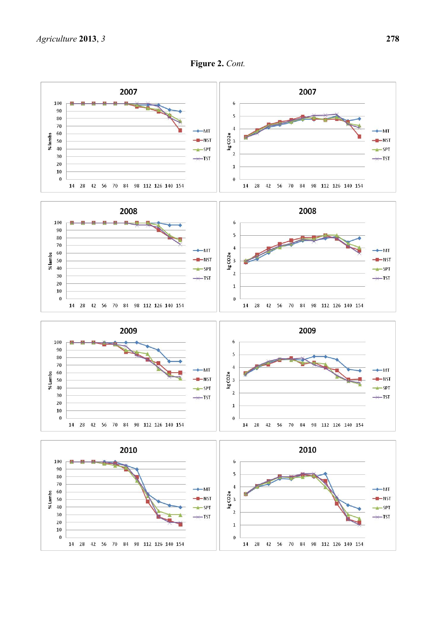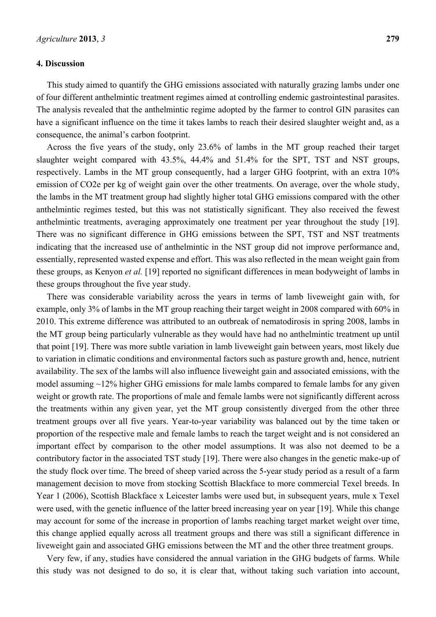#### **4. Discussion**

This study aimed to quantify the GHG emissions associated with naturally grazing lambs under one of four different anthelmintic treatment regimes aimed at controlling endemic gastrointestinal parasites. The analysis revealed that the anthelmintic regime adopted by the farmer to control GIN parasites can have a significant influence on the time it takes lambs to reach their desired slaughter weight and, as a consequence, the animal's carbon footprint.

Across the five years of the study, only 23.6% of lambs in the MT group reached their target slaughter weight compared with 43.5%, 44.4% and 51.4% for the SPT, TST and NST groups, respectively. Lambs in the MT group consequently, had a larger GHG footprint, with an extra 10% emission of CO2e per kg of weight gain over the other treatments. On average, over the whole study, the lambs in the MT treatment group had slightly higher total GHG emissions compared with the other anthelmintic regimes tested, but this was not statistically significant. They also received the fewest anthelmintic treatments, averaging approximately one treatment per year throughout the study [19]. There was no significant difference in GHG emissions between the SPT, TST and NST treatments indicating that the increased use of anthelmintic in the NST group did not improve performance and, essentially, represented wasted expense and effort. This was also reflected in the mean weight gain from these groups, as Kenyon *et al.* [19] reported no significant differences in mean bodyweight of lambs in these groups throughout the five year study.

There was considerable variability across the years in terms of lamb liveweight gain with, for example, only 3% of lambs in the MT group reaching their target weight in 2008 compared with 60% in 2010. This extreme difference was attributed to an outbreak of nematodirosis in spring 2008, lambs in the MT group being particularly vulnerable as they would have had no anthelmintic treatment up until that point [19]. There was more subtle variation in lamb liveweight gain between years, most likely due to variation in climatic conditions and environmental factors such as pasture growth and, hence, nutrient availability. The sex of the lambs will also influence liveweight gain and associated emissions, with the model assuming ~12% higher GHG emissions for male lambs compared to female lambs for any given weight or growth rate. The proportions of male and female lambs were not significantly different across the treatments within any given year, yet the MT group consistently diverged from the other three treatment groups over all five years. Year-to-year variability was balanced out by the time taken or proportion of the respective male and female lambs to reach the target weight and is not considered an important effect by comparison to the other model assumptions. It was also not deemed to be a contributory factor in the associated TST study [19]. There were also changes in the genetic make-up of the study flock over time. The breed of sheep varied across the 5-year study period as a result of a farm management decision to move from stocking Scottish Blackface to more commercial Texel breeds. In Year 1 (2006), Scottish Blackface x Leicester lambs were used but, in subsequent years, mule x Texel were used, with the genetic influence of the latter breed increasing year on year [19]. While this change may account for some of the increase in proportion of lambs reaching target market weight over time, this change applied equally across all treatment groups and there was still a significant difference in liveweight gain and associated GHG emissions between the MT and the other three treatment groups.

Very few, if any, studies have considered the annual variation in the GHG budgets of farms. While this study was not designed to do so, it is clear that, without taking such variation into account,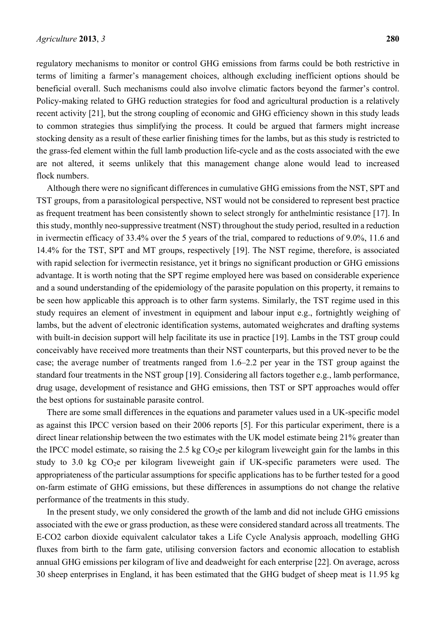regulatory mechanisms to monitor or control GHG emissions from farms could be both restrictive in terms of limiting a farmer's management choices, although excluding inefficient options should be beneficial overall. Such mechanisms could also involve climatic factors beyond the farmer's control. Policy-making related to GHG reduction strategies for food and agricultural production is a relatively recent activity [21], but the strong coupling of economic and GHG efficiency shown in this study leads to common strategies thus simplifying the process. It could be argued that farmers might increase stocking density as a result of these earlier finishing times for the lambs, but as this study is restricted to the grass-fed element within the full lamb production life-cycle and as the costs associated with the ewe are not altered, it seems unlikely that this management change alone would lead to increased flock numbers.

Although there were no significant differences in cumulative GHG emissions from the NST, SPT and TST groups, from a parasitological perspective, NST would not be considered to represent best practice as frequent treatment has been consistently shown to select strongly for anthelmintic resistance [17]. In this study, monthly neo-suppressive treatment (NST) throughout the study period, resulted in a reduction in ivermectin efficacy of 33.4% over the 5 years of the trial, compared to reductions of 9.0%, 11.6 and 14.4% for the TST, SPT and MT groups, respectively [19]. The NST regime, therefore, is associated with rapid selection for ivermectin resistance, yet it brings no significant production or GHG emissions advantage. It is worth noting that the SPT regime employed here was based on considerable experience and a sound understanding of the epidemiology of the parasite population on this property, it remains to be seen how applicable this approach is to other farm systems. Similarly, the TST regime used in this study requires an element of investment in equipment and labour input e.g., fortnightly weighing of lambs, but the advent of electronic identification systems, automated weighcrates and drafting systems with built-in decision support will help facilitate its use in practice [19]. Lambs in the TST group could conceivably have received more treatments than their NST counterparts, but this proved never to be the case; the average number of treatments ranged from 1.6–2.2 per year in the TST group against the standard four treatments in the NST group [19]. Considering all factors together e.g., lamb performance, drug usage, development of resistance and GHG emissions, then TST or SPT approaches would offer the best options for sustainable parasite control.

There are some small differences in the equations and parameter values used in a UK-specific model as against this IPCC version based on their 2006 reports [5]. For this particular experiment, there is a direct linear relationship between the two estimates with the UK model estimate being 21% greater than the IPCC model estimate, so raising the  $2.5 \text{ kg CO}_2$ e per kilogram liveweight gain for the lambs in this study to 3.0 kg  $CO<sub>2</sub>e$  per kilogram liveweight gain if UK-specific parameters were used. The appropriateness of the particular assumptions for specific applications has to be further tested for a good on-farm estimate of GHG emissions, but these differences in assumptions do not change the relative performance of the treatments in this study.

In the present study, we only considered the growth of the lamb and did not include GHG emissions associated with the ewe or grass production, as these were considered standard across all treatments. The E-CO2 carbon dioxide equivalent calculator takes a Life Cycle Analysis approach, modelling GHG fluxes from birth to the farm gate, utilising conversion factors and economic allocation to establish annual GHG emissions per kilogram of live and deadweight for each enterprise [22]. On average, across 30 sheep enterprises in England, it has been estimated that the GHG budget of sheep meat is 11.95 kg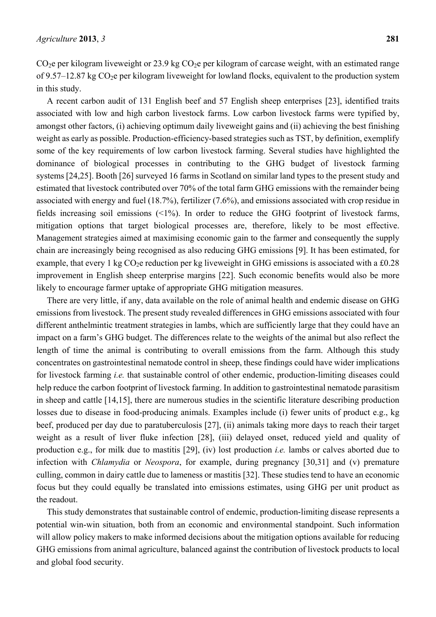$CO<sub>2</sub>e$  per kilogram liveweight or 23.9 kg  $CO<sub>2</sub>e$  per kilogram of carcase weight, with an estimated range of 9.57–12.87 kg  $CO<sub>2</sub>e$  per kilogram liveweight for lowland flocks, equivalent to the production system in this study.

A recent carbon audit of 131 English beef and 57 English sheep enterprises [23], identified traits associated with low and high carbon livestock farms. Low carbon livestock farms were typified by, amongst other factors, (i) achieving optimum daily liveweight gains and (ii) achieving the best finishing weight as early as possible. Production-efficiency-based strategies such as TST, by definition, exemplify some of the key requirements of low carbon livestock farming. Several studies have highlighted the dominance of biological processes in contributing to the GHG budget of livestock farming systems [24,25]. Booth [26] surveyed 16 farms in Scotland on similar land types to the present study and estimated that livestock contributed over 70% of the total farm GHG emissions with the remainder being associated with energy and fuel (18.7%), fertilizer (7.6%), and emissions associated with crop residue in fields increasing soil emissions  $(\leq 1\%)$ . In order to reduce the GHG footprint of livestock farms, mitigation options that target biological processes are, therefore, likely to be most effective. Management strategies aimed at maximising economic gain to the farmer and consequently the supply chain are increasingly being recognised as also reducing GHG emissions [9]. It has been estimated, for example, that every 1 kg  $CO<sub>2</sub>e$  reduction per kg liveweight in GHG emissions is associated with a £0.28 improvement in English sheep enterprise margins [22]. Such economic benefits would also be more likely to encourage farmer uptake of appropriate GHG mitigation measures.

There are very little, if any, data available on the role of animal health and endemic disease on GHG emissions from livestock. The present study revealed differences in GHG emissions associated with four different anthelmintic treatment strategies in lambs, which are sufficiently large that they could have an impact on a farm's GHG budget. The differences relate to the weights of the animal but also reflect the length of time the animal is contributing to overall emissions from the farm. Although this study concentrates on gastrointestinal nematode control in sheep, these findings could have wider implications for livestock farming *i.e.* that sustainable control of other endemic, production-limiting diseases could help reduce the carbon footprint of livestock farming. In addition to gastrointestinal nematode parasitism in sheep and cattle [14,15], there are numerous studies in the scientific literature describing production losses due to disease in food-producing animals. Examples include (i) fewer units of product e.g., kg beef, produced per day due to paratuberculosis [27], (ii) animals taking more days to reach their target weight as a result of liver fluke infection [28], (iii) delayed onset, reduced yield and quality of production e.g., for milk due to mastitis [29], (iv) lost production *i.e.* lambs or calves aborted due to infection with *Chlamydia* or *Neospora*, for example, during pregnancy [30,31] and (v) premature culling, common in dairy cattle due to lameness or mastitis [32]. These studies tend to have an economic focus but they could equally be translated into emissions estimates, using GHG per unit product as the readout.

This study demonstrates that sustainable control of endemic, production-limiting disease represents a potential win-win situation, both from an economic and environmental standpoint. Such information will allow policy makers to make informed decisions about the mitigation options available for reducing GHG emissions from animal agriculture, balanced against the contribution of livestock products to local and global food security.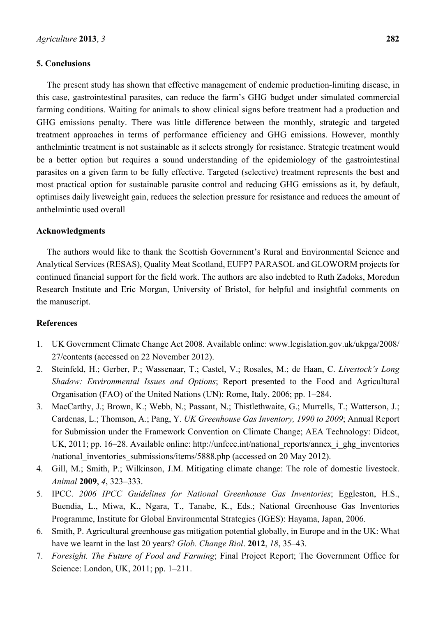## **5. Conclusions**

The present study has shown that effective management of endemic production-limiting disease, in this case, gastrointestinal parasites, can reduce the farm's GHG budget under simulated commercial farming conditions. Waiting for animals to show clinical signs before treatment had a production and GHG emissions penalty. There was little difference between the monthly, strategic and targeted treatment approaches in terms of performance efficiency and GHG emissions. However, monthly anthelmintic treatment is not sustainable as it selects strongly for resistance. Strategic treatment would be a better option but requires a sound understanding of the epidemiology of the gastrointestinal parasites on a given farm to be fully effective. Targeted (selective) treatment represents the best and most practical option for sustainable parasite control and reducing GHG emissions as it, by default, optimises daily liveweight gain, reduces the selection pressure for resistance and reduces the amount of anthelmintic used overall

## **Acknowledgments**

The authors would like to thank the Scottish Government's Rural and Environmental Science and Analytical Services (RESAS), Quality Meat Scotland, EUFP7 PARASOL and GLOWORM projects for continued financial support for the field work. The authors are also indebted to Ruth Zadoks, Moredun Research Institute and Eric Morgan, University of Bristol, for helpful and insightful comments on the manuscript.

### **References**

- 1. UK Government Climate Change Act 2008. Available online: www.legislation.gov.uk/ukpga/2008/ 27/contents (accessed on 22 November 2012).
- 2. Steinfeld, H.; Gerber, P.; Wassenaar, T.; Castel, V.; Rosales, M.; de Haan, C. *Livestock's Long Shadow: Environmental Issues and Options*; Report presented to the Food and Agricultural Organisation (FAO) of the United Nations (UN): Rome, Italy, 2006; pp. 1–284.
- 3. MacCarthy, J.; Brown, K.; Webb, N.; Passant, N.; Thistlethwaite, G.; Murrells, T.; Watterson, J.; Cardenas, L.; Thomson, A.; Pang, Y. *UK Greenhouse Gas Inventory, 1990 to 2009*; Annual Report for Submission under the Framework Convention on Climate Change; AEA Technology: Didcot, UK, 2011; pp. 16–28. Available online: http://unfccc.int/national\_reports/annex\_i\_ghg\_inventories /national\_inventories\_submissions/items/5888.php (accessed on 20 May 2012).
- 4. Gill, M.; Smith, P.; Wilkinson, J.M. Mitigating climate change: The role of domestic livestock. *Animal* **2009**, *4*, 323–333.
- 5. IPCC. *2006 IPCC Guidelines for National Greenhouse Gas Inventories*; Eggleston, H.S., Buendia, L., Miwa, K., Ngara, T., Tanabe, K., Eds.; National Greenhouse Gas Inventories Programme, Institute for Global Environmental Strategies (IGES): Hayama, Japan, 2006.
- 6. Smith, P. Agricultural greenhouse gas mitigation potential globally, in Europe and in the UK: What have we learnt in the last 20 years? *Glob. Change Biol*. **2012**, *18*, 35–43.
- 7. *Foresight. The Future of Food and Farming*; Final Project Report; The Government Office for Science: London, UK, 2011; pp. 1–211.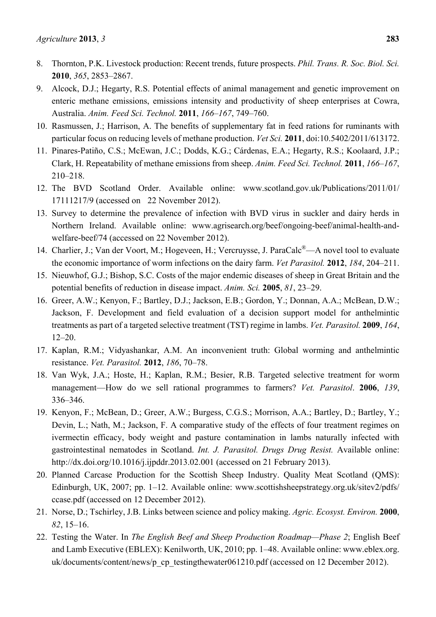- 8. Thornton, P.K. Livestock production: Recent trends, future prospects. *Phil. Trans. R. Soc. Biol. Sci.* **2010**, *365*, 2853–2867.
- 9. Alcock, D.J.; Hegarty, R.S. Potential effects of animal management and genetic improvement on enteric methane emissions, emissions intensity and productivity of sheep enterprises at Cowra, Australia. *Anim. Feed Sci. Technol.* **2011**, *166–167*, 749–760.
- 10. Rasmussen, J.; Harrison, A. The benefits of supplementary fat in feed rations for ruminants with particular focus on reducing levels of methane production. *Vet Sci.* **2011**, doi:10.5402/2011/613172.
- 11. Pinares-Patiño, C.S.; McEwan, J.C.; Dodds, K.G.; Cárdenas, E.A.; Hegarty, R.S.; Koolaard, J.P.; Clark, H. Repeatability of methane emissions from sheep. *Anim. Feed Sci. Technol.* **2011**, *166–167*, 210–218.
- 12. The BVD Scotland Order. Available online: www.scotland.gov.uk/Publications/2011/01/ 17111217/9 (accessed on 22 November 2012).
- 13. Survey to determine the prevalence of infection with BVD virus in suckler and dairy herds in Northern Ireland. Available online: www.agrisearch.org/beef/ongoing-beef/animal-health-andwelfare-beef/74 (accessed on 22 November 2012).
- 14. Charlier, J.; Van der Voort, M.; Hogeveen, H.; Vercruysse, J. ParaCalc<sup>®</sup>—A novel tool to evaluate the economic importance of worm infections on the dairy farm. *Vet Parasitol.* **2012**, *184*, 204–211.
- 15. Nieuwhof, G.J.; Bishop, S.C. Costs of the major endemic diseases of sheep in Great Britain and the potential benefits of reduction in disease impact. *Anim. Sci.* **2005**, *81*, 23–29.
- 16. Greer, A.W.; Kenyon, F.; Bartley, D.J.; Jackson, E.B.; Gordon, Y.; Donnan, A.A.; McBean, D.W.; Jackson, F. Development and field evaluation of a decision support model for anthelmintic treatments as part of a targeted selective treatment (TST) regime in lambs. *Vet. Parasitol.* **2009**, *164*, 12–20.
- 17. Kaplan, R.M.; Vidyashankar, A.M. An inconvenient truth: Global worming and anthelmintic resistance. *Vet. Parasitol.* **2012**, *186*, 70–78.
- 18. Van Wyk, J.A.; Hoste, H.; Kaplan, R.M.; Besier, R.B. Targeted selective treatment for worm management—How do we sell rational programmes to farmers? *Vet. Parasitol*. **2006**, *139*, 336–346.
- 19. Kenyon, F.; McBean, D.; Greer, A.W.; Burgess, C.G.S.; Morrison, A.A.; Bartley, D.; Bartley, Y.; Devin, L.; Nath, M.; Jackson, F. A comparative study of the effects of four treatment regimes on ivermectin efficacy, body weight and pasture contamination in lambs naturally infected with gastrointestinal nematodes in Scotland. *Int. J. Parasitol. Drugs Drug Resist.* Available online: http://dx.doi.org/10.1016/j.ijpddr.2013.02.001 (accessed on 21 February 2013).
- 20. Planned Carcase Production for the Scottish Sheep Industry. Quality Meat Scotland (QMS): Edinburgh, UK, 2007; pp. 1–12. Available online: www.scottishsheepstrategy.org.uk/sitev2/pdfs/ ccase.pdf (accessed on 12 December 2012).
- 21. Norse, D.; Tschirley, J.B. Links between science and policy making. *Agric. Ecosyst. Environ.* **2000**, *82*, 15–16.
- 22. Testing the Water. In *The English Beef and Sheep Production Roadmap—Phase 2*; English Beef and Lamb Executive (EBLEX): Kenilworth, UK, 2010; pp. 1–48. Available online: www.eblex.org. uk/documents/content/news/p\_cp\_testingthewater061210.pdf (accessed on 12 December 2012).